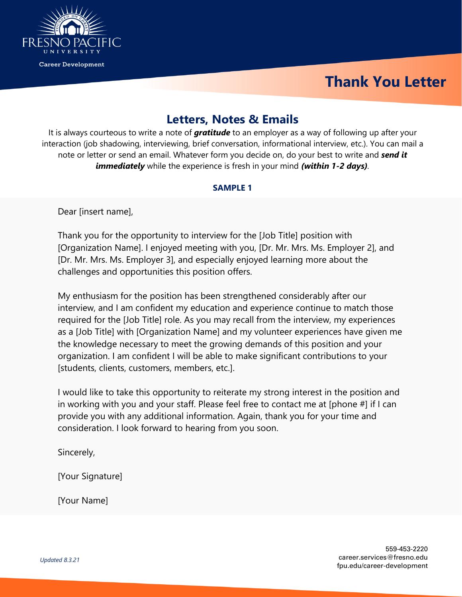

 **Thank You Letter**

## **Letters, Notes & Emails**

It is always courteous to write a note of *gratitude* to an employer as a way of following up after your interaction (job shadowing, interviewing, brief conversation, informational interview, etc.). You can mail a note or letter or send an email. Whatever form you decide on, do your best to write and *send it immediately* while the experience is fresh in your mind *(within 1-2 days).*

### **SAMPLE 1**

Dear [insert name],

Thank you for the opportunity to interview for the [Job Title] position with [Organization Name]. I enjoyed meeting with you, [Dr. Mr. Mrs. Ms. Employer 2], and [Dr. Mr. Mrs. Ms. Employer 3], and especially enjoyed learning more about the challenges and opportunities this position offers.

My enthusiasm for the position has been strengthened considerably after our interview, and I am confident my education and experience continue to match those required for the [Job Title] role. As you may recall from the interview, my experiences as a [Job Title] with [Organization Name] and my volunteer experiences have given me the knowledge necessary to meet the growing demands of this position and your organization. I am confident I will be able to make significant contributions to your [students, clients, customers, members, etc.].

I would like to take this opportunity to reiterate my strong interest in the position and in working with you and your staff. Please feel free to contact me at [phone #] if I can provide you with any additional information. Again, thank you for your time and consideration. I look forward to hearing from you soon.

Sincerely,

[Your Signature]

[Your Name]